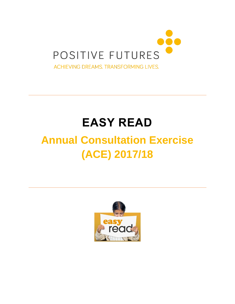

# **EASY READ**

## **Annual Consultation Exercise (ACE) 2017/18**

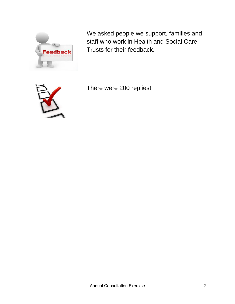

We asked people we support, families and staff who work in Health and Social Care Trusts for their feedback.



There were 200 replies!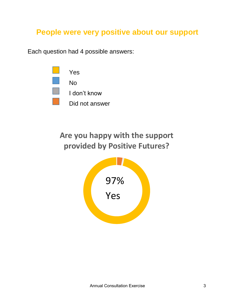### **People were very positive about our support**

Each question had 4 possible answers:



## **Are you happy with the support provided by Positive Futures?**

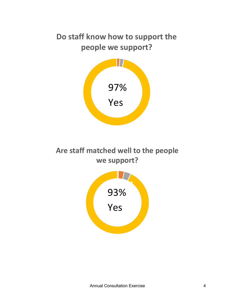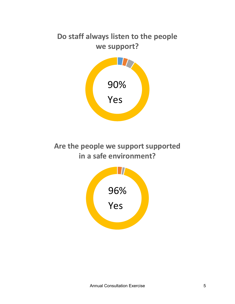## **Do staff always listen to the people we support?**



**Are the people we support supported in a safe environment?**

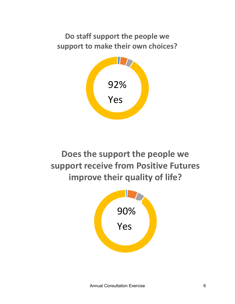### **Do staff support the people we support to make their own choices?**



**Does the support the people we support receive from Positive Futures improve their quality of life?**

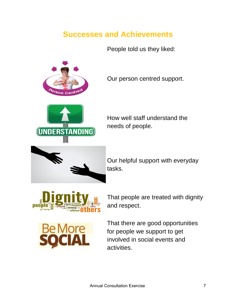#### **Successes and Achievements**

People told us they liked:



Our person centred support.



How well staff understand the needs of people.



Our helpful support with everyday tasks.



That people are treated with dignity and respect.



That there are good opportunities for people we support to get involved in social events and activities.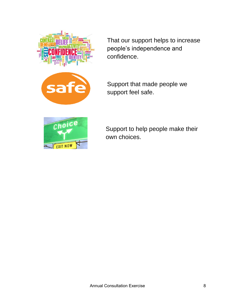

That our support helps to increase people's independence and confidence.



Support that made people we support feel safe.



Support to help people make their own choices.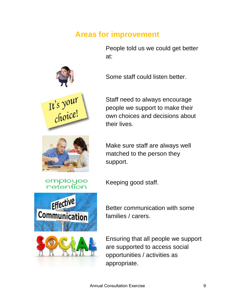#### **Areas for improvement**

People told us we could get better at:





employee

Staff need to always encourage people we support to make their own choices and decisions about their lives.

Make sure staff are always well matched to the person they support.

Keeping good staff.



Better communication with some families / carers.

Ensuring that all people we support are supported to access social opportunities / activities as appropriate.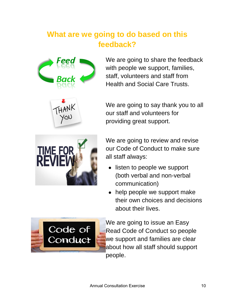## **What are we going to do based on this feedback?**



We are going to share the feedback with people we support, families, staff, volunteers and staff from Health and Social Care Trusts.



We are going to say thank you to all our staff and volunteers for providing great support.



We are going to review and revise our Code of Conduct to make sure all staff always:

- listen to people we support (both verbal and non-verbal communication)
- help people we support make their own choices and decisions about their lives.



We are going to issue an Easy Read Code of Conduct so people we support and families are clear about how all staff should support people.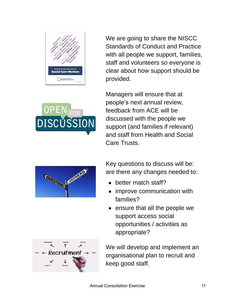

We are going to share the NISCC Standards of Conduct and Practice with all people we support, families, staff and volunteers so everyone is clear about how support should be provided.

Managers will ensure that at people's next annual review, feedback from ACE will be discussed with the people we support (and families if relevant) and staff from Health and Social Care Trusts.



**DISCUSSION** 

 $\overline{\phantom{a}}$   $\leftarrow$  Recruitment -

Key questions to discuss will be: are there any changes needed to:

- better match staff?
- improve communication with families?
- ensure that all the people we support access social opportunities / activities as appropriate?

We will develop and implement an organisational plan to recruit and keep good staff.